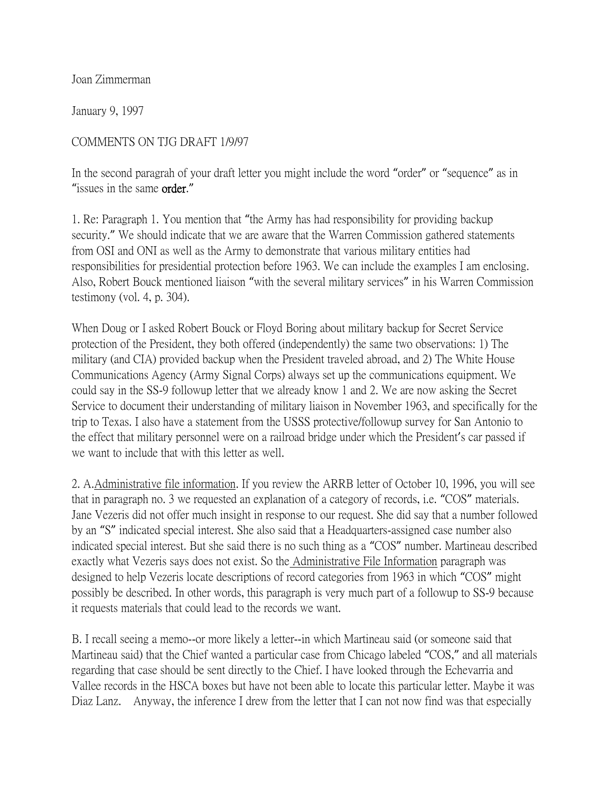Joan Zimmerman

January 9, 1997

## COMMENTS ON TJG DRAFT 1/9/97

In the second paragrah of your draft letter you might include the word "order" or "sequence" as in "issues in the same order."

1. Re: Paragraph 1. You mention that "the Army has had responsibility for providing backup security." We should indicate that we are aware that the Warren Commission gathered statements from OSI and ONI as well as the Army to demonstrate that various military entities had responsibilities for presidential protection before 1963. We can include the examples I am enclosing. Also, Robert Bouck mentioned liaison "with the several military services" in his Warren Commission testimony (vol. 4, p. 304).

When Doug or I asked Robert Bouck or Floyd Boring about military backup for Secret Service protection of the President, they both offered (independently) the same two observations: 1) The military (and CIA) provided backup when the President traveled abroad, and 2) The White House Communications Agency (Army Signal Corps) always set up the communications equipment. We could say in the SS-9 followup letter that we already know 1 and 2. We are now asking the Secret Service to document their understanding of military liaison in November 1963, and specifically for the trip to Texas. I also have a statement from the USSS protective/followup survey for San Antonio to the effect that military personnel were on a railroad bridge under which the President's car passed if we want to include that with this letter as well.

2. A.Administrative file information. If you review the ARRB letter of October 10, 1996, you will see that in paragraph no. 3 we requested an explanation of a category of records, i.e. "COS" materials. Jane Vezeris did not offer much insight in response to our request. She did say that a number followed by an "S" indicated special interest. She also said that a Headquarters-assigned case number also indicated special interest. But she said there is no such thing as a "COS" number. Martineau described exactly what Vezeris says does not exist. So the Administrative File Information paragraph was designed to help Vezeris locate descriptions of record categories from 1963 in which "COS" might possibly be described. In other words, this paragraph is very much part of a followup to SS-9 because it requests materials that could lead to the records we want.

B. I recall seeing a memo--or more likely a letter--in which Martineau said (or someone said that Martineau said) that the Chief wanted a particular case from Chicago labeled "COS," and all materials regarding that case should be sent directly to the Chief. I have looked through the Echevarria and Vallee records in the HSCA boxes but have not been able to locate this particular letter. Maybe it was Diaz Lanz. Anyway, the inference I drew from the letter that I can not now find was that especially